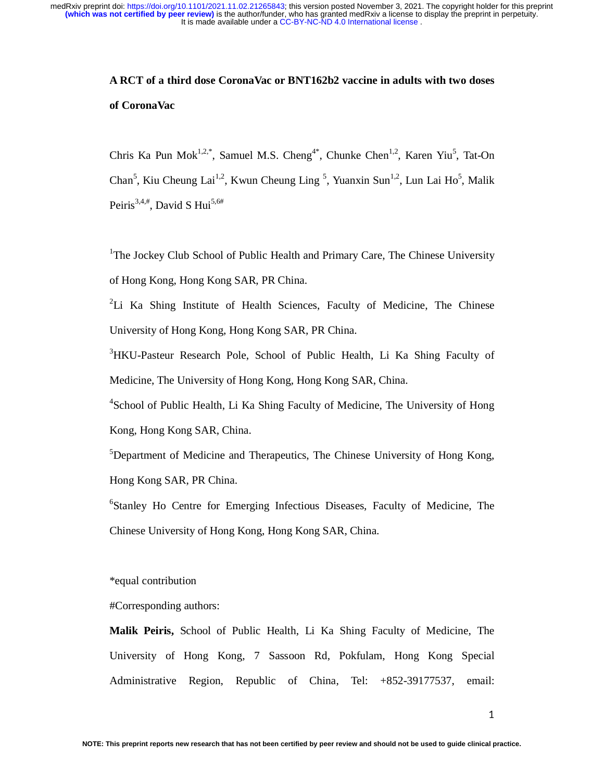# **A RCT of a third dose CoronaVac or BNT162b2 vaccine in adults with two doses of CoronaVac**

Chris Ka Pun Mok<sup>1,2,\*</sup>, Samuel M.S. Cheng<sup>4\*</sup>, Chunke Chen<sup>1,2</sup>, Karen Yiu<sup>5</sup>, Tat-On Chan<sup>5</sup>, Kiu Cheung Lai<sup>1,2</sup>, Kwun Cheung Ling<sup>5</sup>, Yuanxin Sun<sup>1,2</sup>, Lun Lai Ho<sup>5</sup>, Malik Peiris<sup>3,4,#</sup>, David S Hui<sup>5,6#</sup>

<sup>1</sup>The Jockey Club School of Public Health and Primary Care, The Chinese University of Hong Kong, Hong Kong SAR, PR China.

<sup>2</sup>Li Ka Shing Institute of Health Sciences, Faculty of Medicine, The Chinese University of Hong Kong, Hong Kong SAR, PR China.

<sup>3</sup>HKU-Pasteur Research Pole, School of Public Health, Li Ka Shing Faculty of Medicine, The University of Hong Kong, Hong Kong SAR, China.

<sup>4</sup>School of Public Health, Li Ka Shing Faculty of Medicine, The University of Hong Kong, Hong Kong SAR, China.

<sup>5</sup>Department of Medicine and Therapeutics, The Chinese University of Hong Kong, Hong Kong SAR, PR China.

6 Stanley Ho Centre for Emerging Infectious Diseases, Faculty of Medicine, The Chinese University of Hong Kong, Hong Kong SAR, China.

\*equal contribution

#Corresponding authors:

**Malik Peiris,** School of Public Health, Li Ka Shing Faculty of Medicine, The University of Hong Kong, 7 Sassoon Rd, Pokfulam, Hong Kong Special Administrative Region, Republic of China, Tel: +852-39177537, email: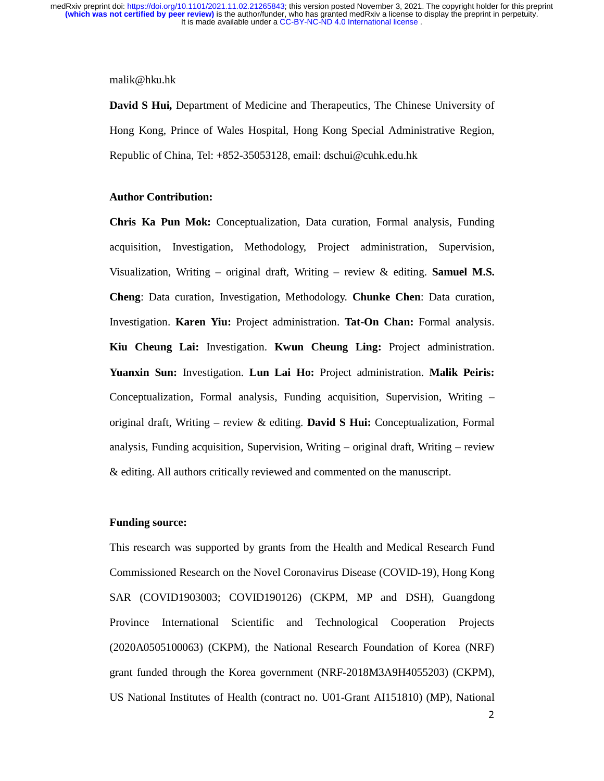#### malik@hku.hk

**David S Hui,** Department of Medicine and Therapeutics, The Chinese University of Hong Kong, Prince of Wales Hospital, Hong Kong Special Administrative Region, Republic of China, Tel: +852-35053128, email: dschui@cuhk.edu.hk

# **Author Contribution:**

**Chris Ka Pun Mok:** Conceptualization, Data curation, Formal analysis, Funding acquisition, Investigation, Methodology, Project administration, Supervision, Visualization, Writing – original draft, Writing – review & editing. **Samuel M.S. Cheng**: Data curation, Investigation, Methodology. **Chunke Chen**: Data curation, Investigation. **Karen Yiu:** Project administration. **Tat-On Chan:** Formal analysis. **Kiu Cheung Lai:** Investigation. **Kwun Cheung Ling:** Project administration. **Yuanxin Sun:** Investigation. **Lun Lai Ho:** Project administration. **Malik Peiris:** Conceptualization, Formal analysis, Funding acquisition, Supervision, Writing – original draft, Writing – review & editing. **David S Hui:** Conceptualization, Formal analysis, Funding acquisition, Supervision, Writing – original draft, Writing – review & editing. All authors critically reviewed and commented on the manuscript.

### **Funding source:**

This research was supported by grants from the Health and Medical Research Fund Commissioned Research on the Novel Coronavirus Disease (COVID-19), Hong Kong SAR (COVID1903003; COVID190126) (CKPM, MP and DSH), Guangdong Province International Scientific and Technological Cooperation Projects (2020A0505100063) (CKPM), the National Research Foundation of Korea (NRF) grant funded through the Korea government (NRF-2018M3A9H4055203) (CKPM), US National Institutes of Health (contract no. U01-Grant AI151810) (MP), National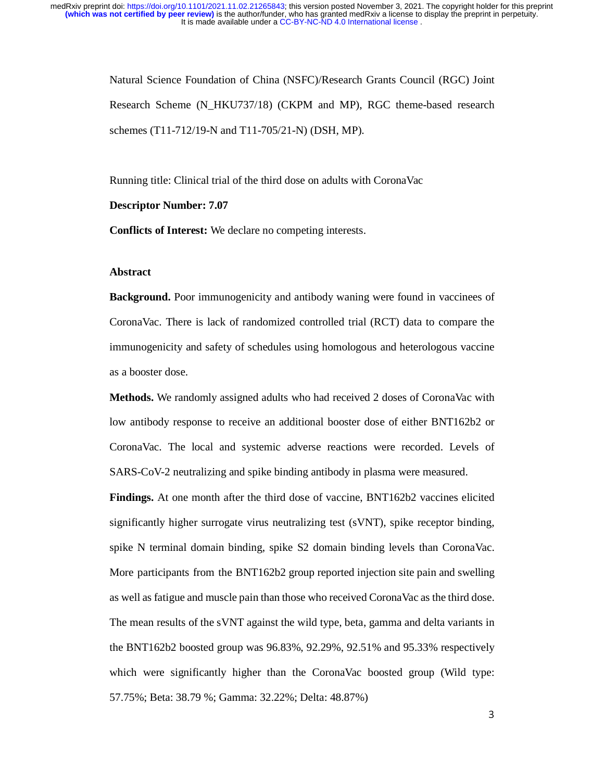> Natural Science Foundation of China (NSFC)/Research Grants Council (RGC) Joint Research Scheme (N\_HKU737/18) (CKPM and MP), RGC theme-based research schemes (T11-712/19-N and T11-705/21-N) (DSH, MP).

Running title: Clinical trial of the third dose on adults with CoronaVac

#### **Descriptor Number: 7.07**

**Conflicts of Interest:** We declare no competing interests.

# **Abstract**

**Background.** Poor immunogenicity and antibody waning were found in vacciness of CoronaVac. There is lack of randomized controlled trial (RCT) data to compare the immunogenicity and safety of schedules using homologous and heterologous vaccine as a booster dose.

**Methods.** We randomly assigned adults who had received 2 doses of CoronaVac with low antibody response to receive an additional booster dose of either BNT162b2 or CoronaVac. The local and systemic adverse reactions were recorded. Levels of SARS-CoV-2 neutralizing and spike binding antibody in plasma were measured.

**Findings.** At one month after the third dose of vaccine, BNT162b2 vaccines elicited significantly higher surrogate virus neutralizing test (sVNT), spike receptor binding, spike N terminal domain binding, spike S2 domain binding levels than CoronaVac. More participants from the BNT162b2 group reported injection site pain and swelling as well as fatigue and muscle pain than those who received CoronaVac as the third dose. The mean results of the sVNT against the wild type, beta, gamma and delta variants in the BNT162b2 boosted group was 96.83%, 92.29%, 92.51% and 95.33% respectively which were significantly higher than the CoronaVac boosted group (Wild type: 57.75%; Beta: 38.79 %; Gamma: 32.22%; Delta: 48.87%)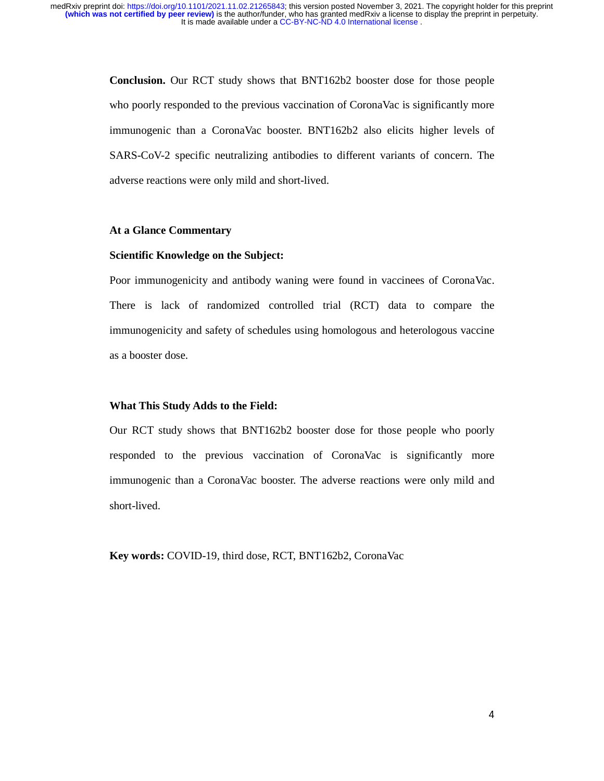> **Conclusion.** Our RCT study shows that BNT162b2 booster dose for those people who poorly responded to the previous vaccination of CoronaVac is significantly more immunogenic than a CoronaVac booster. BNT162b2 also elicits higher levels of SARS-CoV-2 specific neutralizing antibodies to different variants of concern. The adverse reactions were only mild and short-lived.

#### **At a Glance Commentary**

### **Scientific Knowledge on the Subject:**

Poor immunogenicity and antibody waning were found in vaccinees of CoronaVac. There is lack of randomized controlled trial (RCT) data to compare the immunogenicity and safety of schedules using homologous and heterologous vaccine as a booster dose.

#### **What This Study Adds to the Field:**

Our RCT study shows that BNT162b2 booster dose for those people who poorly responded to the previous vaccination of CoronaVac is significantly more immunogenic than a CoronaVac booster. The adverse reactions were only mild and short-lived.

**Key words:** COVID-19, third dose, RCT, BNT162b2, CoronaVac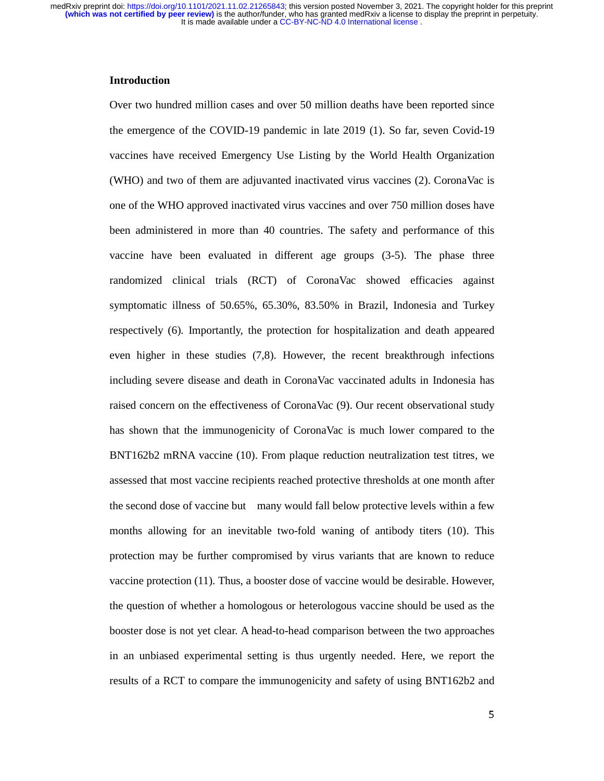# **Introduction**

Over two hundred million cases and over 50 million deaths have been reported since the emergence of the COVID-19 pandemic in late 2019 (1). So far, seven Covid-19 vaccines have received Emergency Use Listing by the World Health Organization (WHO) and two of them are adjuvanted inactivated virus vaccines (2). CoronaVac is one of the WHO approved inactivated virus vaccines and over 750 million doses have been administered in more than 40 countries. The safety and performance of this vaccine have been evaluated in different age groups (3-5). The phase three randomized clinical trials (RCT) of CoronaVac showed efficacies against symptomatic illness of 50.65%, 65.30%, 83.50% in Brazil, Indonesia and Turkey respectively (6). Importantly, the protection for hospitalization and death appeared even higher in these studies (7,8). However, the recent breakthrough infections including severe disease and death in CoronaVac vaccinated adults in Indonesia has raised concern on the effectiveness of CoronaVac (9). Our recent observational study has shown that the immunogenicity of CoronaVac is much lower compared to the BNT162b2 mRNA vaccine (10). From plaque reduction neutralization test titres, we assessed that most vaccine recipients reached protective thresholds at one month after the second dose of vaccine but many would fall below protective levels within a few months allowing for an inevitable two-fold waning of antibody titers (10). This protection may be further compromised by virus variants that are known to reduce vaccine protection (11). Thus, a booster dose of vaccine would be desirable. However, the question of whether a homologous or heterologous vaccine should be used as the booster dose is not yet clear. A head-to-head comparison between the two approaches in an unbiased experimental setting is thus urgently needed. Here, we report the results of a RCT to compare the immunogenicity and safety of using BNT162b2 and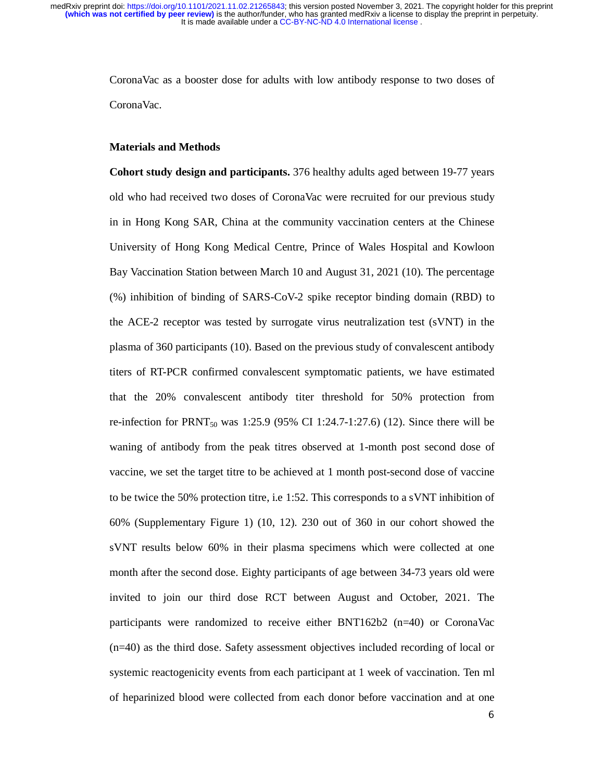> CoronaVac as a booster dose for adults with low antibody response to two doses of CoronaVac.

## **Materials and Methods**

**Cohort study design and participants.** 376 healthy adults aged between 19-77 years old who had received two doses of CoronaVac were recruited for our previous study in in Hong Kong SAR, China at the community vaccination centers at the Chinese University of Hong Kong Medical Centre, Prince of Wales Hospital and Kowloon Bay Vaccination Station between March 10 and August 31, 2021 (10). The percentage (%) inhibition of binding of SARS-CoV-2 spike receptor binding domain (RBD) to the ACE-2 receptor was tested by surrogate virus neutralization test (sVNT) in the plasma of 360 participants (10). Based on the previous study of convalescent antibody titers of RT-PCR confirmed convalescent symptomatic patients, we have estimated that the 20% convalescent antibody titer threshold for 50% protection from re-infection for PRNT<sub>50</sub> was 1:25.9 (95% CI 1:24.7-1:27.6) (12). Since there will be waning of antibody from the peak titres observed at 1-month post second dose of vaccine, we set the target titre to be achieved at 1 month post-second dose of vaccine to be twice the 50% protection titre, i.e 1:52. This corresponds to a sVNT inhibition of 60% (Supplementary Figure 1) (10, 12). 230 out of 360 in our cohort showed the sVNT results below 60% in their plasma specimens which were collected at one month after the second dose. Eighty participants of age between 34-73 years old were invited to join our third dose RCT between August and October, 2021. The participants were randomized to receive either BNT162b2 (n=40) or CoronaVac (n=40) as the third dose. Safety assessment objectives included recording of local or systemic reactogenicity events from each participant at 1 week of vaccination. Ten ml of heparinized blood were collected from each donor before vaccination and at one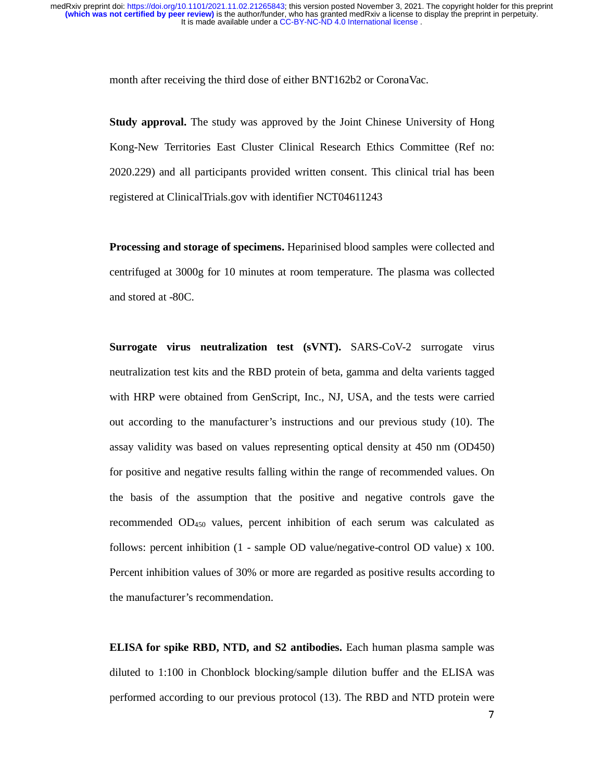month after receiving the third dose of either BNT162b2 or CoronaVac.

**Study approval.** The study was approved by the Joint Chinese University of Hong Kong-New Territories East Cluster Clinical Research Ethics Committee (Ref no: 2020.229) and all participants provided written consent. This clinical trial has been registered at ClinicalTrials.gov with identifier NCT04611243

**Processing and storage of specimens.** Heparinised blood samples were collected and centrifuged at 3000g for 10 minutes at room temperature. The plasma was collected and stored at -80C.

**Surrogate virus neutralization test (sVNT).** SARS-CoV-2 surrogate virus neutralization test kits and the RBD protein of beta, gamma and delta varients tagged with HRP were obtained from GenScript, Inc., NJ, USA, and the tests were carried out according to the manufacturer's instructions and our previous study (10). The assay validity was based on values representing optical density at 450 nm (OD450) for positive and negative results falling within the range of recommended values. On the basis of the assumption that the positive and negative controls gave the recommended  $OD<sub>450</sub>$  values, percent inhibition of each serum was calculated as follows: percent inhibition (1 - sample OD value/negative-control OD value) x 100. Percent inhibition values of 30% or more are regarded as positive results according to the manufacturer's recommendation.

**ELISA for spike RBD, NTD, and S2 antibodies.** Each human plasma sample was diluted to 1:100 in Chonblock blocking/sample dilution buffer and the ELISA was performed according to our previous protocol (13). The RBD and NTD protein were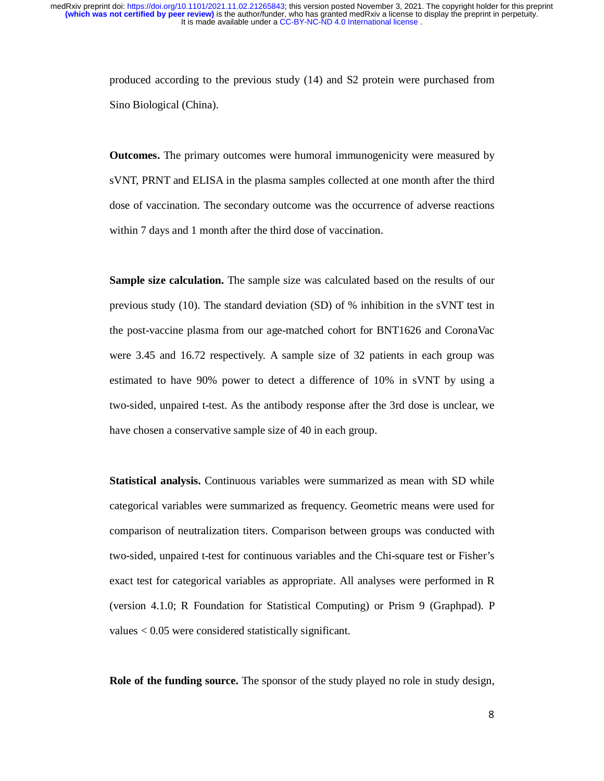> produced according to the previous study (14) and S2 protein were purchased from Sino Biological (China).

> **Outcomes.** The primary outcomes were humoral immunogenicity were measured by sVNT, PRNT and ELISA in the plasma samples collected at one month after the third dose of vaccination. The secondary outcome was the occurrence of adverse reactions within 7 days and 1 month after the third dose of vaccination.

> **Sample size calculation.** The sample size was calculated based on the results of our previous study (10). The standard deviation (SD) of % inhibition in the sVNT test in the post-vaccine plasma from our age-matched cohort for BNT1626 and CoronaVac were 3.45 and 16.72 respectively. A sample size of 32 patients in each group was estimated to have 90% power to detect a difference of 10% in sVNT by using a two-sided, unpaired t-test. As the antibody response after the 3rd dose is unclear, we have chosen a conservative sample size of 40 in each group.

> **Statistical analysis.** Continuous variables were summarized as mean with SD while categorical variables were summarized as frequency. Geometric means were used for comparison of neutralization titers. Comparison between groups was conducted with two-sided, unpaired t-test for continuous variables and the Chi-square test or Fisher's exact test for categorical variables as appropriate. All analyses were performed in R (version 4.1.0; R Foundation for Statistical Computing) or Prism 9 (Graphpad). P values < 0.05 were considered statistically significant.

> **Role of the funding source.** The sponsor of the study played no role in study design,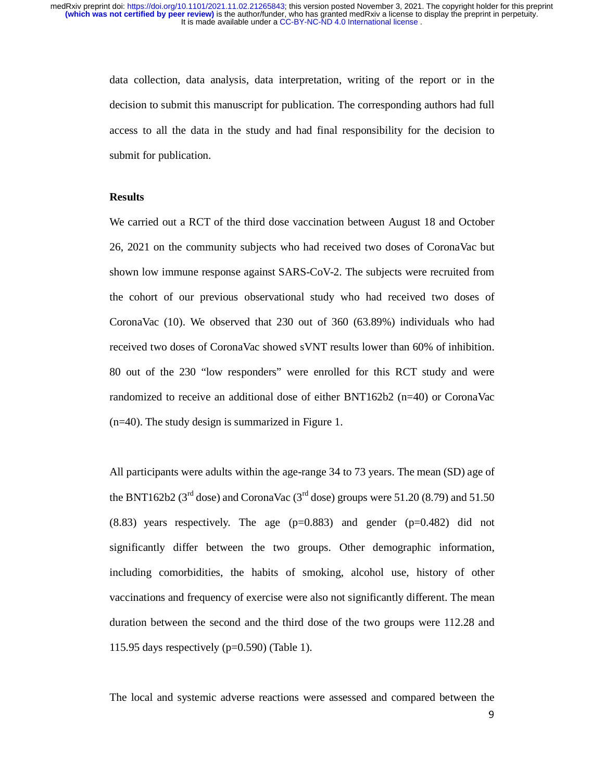> data collection, data analysis, data interpretation, writing of the report or in the decision to submit this manuscript for publication. The corresponding authors had full access to all the data in the study and had final responsibility for the decision to submit for publication.

# **Results**

We carried out a RCT of the third dose vaccination between August 18 and October 26, 2021 on the community subjects who had received two doses of CoronaVac but shown low immune response against SARS-CoV-2. The subjects were recruited from the cohort of our previous observational study who had received two doses of CoronaVac (10). We observed that 230 out of 360 (63.89%) individuals who had received two doses of CoronaVac showed sVNT results lower than 60% of inhibition. 80 out of the 230 "low responders" were enrolled for this RCT study and were randomized to receive an additional dose of either BNT162b2 (n=40) or CoronaVac (n=40). The study design is summarized in Figure 1.

All participants were adults within the age-range 34 to 73 years. The mean (SD) age of the BNT162b2 ( $3<sup>rd</sup>$  dose) and CoronaVac ( $3<sup>rd</sup>$  dose) groups were 51.20 (8.79) and 51.50  $(8.83)$  years respectively. The age  $(p=0.883)$  and gender  $(p=0.482)$  did not significantly differ between the two groups. Other demographic information, including comorbidities, the habits of smoking, alcohol use, history of other vaccinations and frequency of exercise were also not significantly different. The mean duration between the second and the third dose of the two groups were 112.28 and 115.95 days respectively  $(p=0.590)$  (Table 1).

The local and systemic adverse reactions were assessed and compared between the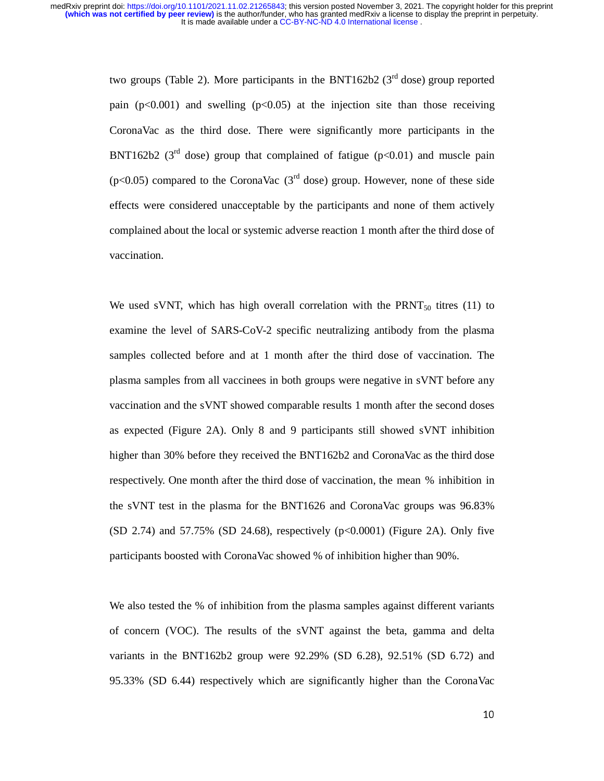> two groups (Table 2). More participants in the BNT162b2 ( $3<sup>rd</sup>$  dose) group reported pain  $(p<0.001)$  and swelling  $(p<0.05)$  at the injection site than those receiving CoronaVac as the third dose. There were significantly more participants in the BNT162b2 ( $3<sup>rd</sup>$  dose) group that complained of fatigue (p<0.01) and muscle pain ( $p<0.05$ ) compared to the CoronaVac ( $3<sup>rd</sup>$  dose) group. However, none of these side effects were considered unacceptable by the participants and none of them actively complained about the local or systemic adverse reaction 1 month after the third dose of vaccination.

> We used sVNT, which has high overall correlation with the  $\text{PRNT}_{50}$  titres (11) to examine the level of SARS-CoV-2 specific neutralizing antibody from the plasma samples collected before and at 1 month after the third dose of vaccination. The plasma samples from all vaccinees in both groups were negative in sVNT before any vaccination and the sVNT showed comparable results 1 month after the second doses as expected (Figure 2A). Only 8 and 9 participants still showed sVNT inhibition higher than 30% before they received the BNT162b2 and CoronaVac as the third dose respectively. One month after the third dose of vaccination, the mean % inhibition in the sVNT test in the plasma for the BNT1626 and CoronaVac groups was 96.83%  $(SD 2.74)$  and 57.75%  $(SD 24.68)$ , respectively  $(p<0.0001)$  (Figure 2A). Only five participants boosted with CoronaVac showed % of inhibition higher than 90%.

> We also tested the % of inhibition from the plasma samples against different variants of concern (VOC). The results of the sVNT against the beta, gamma and delta variants in the BNT162b2 group were 92.29% (SD 6.28), 92.51% (SD 6.72) and 95.33% (SD 6.44) respectively which are significantly higher than the CoronaVac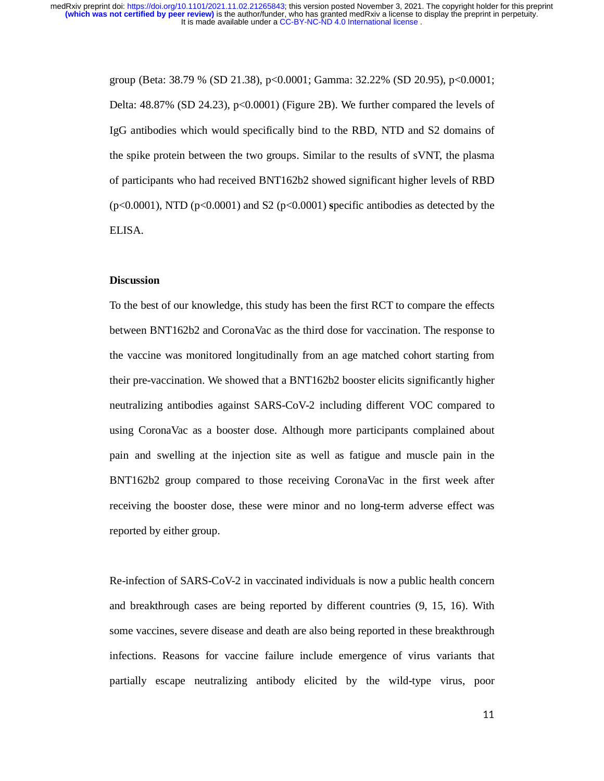> group (Beta: 38.79 % (SD 21.38), p<0.0001; Gamma: 32.22% (SD 20.95), p<0.0001; Delta: 48.87% (SD 24.23), p<0.0001) (Figure 2B). We further compared the levels of IgG antibodies which would specifically bind to the RBD, NTD and S2 domains of the spike protein between the two groups. Similar to the results of sVNT, the plasma of participants who had received BNT162b2 showed significant higher levels of RBD (p<0.0001), NTD (p<0.0001) and S2 (p<0.0001) **s**pecific antibodies as detected by the ELISA.

## **Discussion**

To the best of our knowledge, this study has been the first RCT to compare the effects between BNT162b2 and CoronaVac as the third dose for vaccination. The response to the vaccine was monitored longitudinally from an age matched cohort starting from their pre-vaccination. We showed that a BNT162b2 booster elicits significantly higher neutralizing antibodies against SARS-CoV-2 including different VOC compared to using CoronaVac as a booster dose. Although more participants complained about pain and swelling at the injection site as well as fatigue and muscle pain in the BNT162b2 group compared to those receiving CoronaVac in the first week after receiving the booster dose, these were minor and no long-term adverse effect was reported by either group.

Re-infection of SARS-CoV-2 in vaccinated individuals is now a public health concern and breakthrough cases are being reported by different countries (9, 15, 16). With some vaccines, severe disease and death are also being reported in these breakthrough infections. Reasons for vaccine failure include emergence of virus variants that partially escape neutralizing antibody elicited by the wild-type virus, poor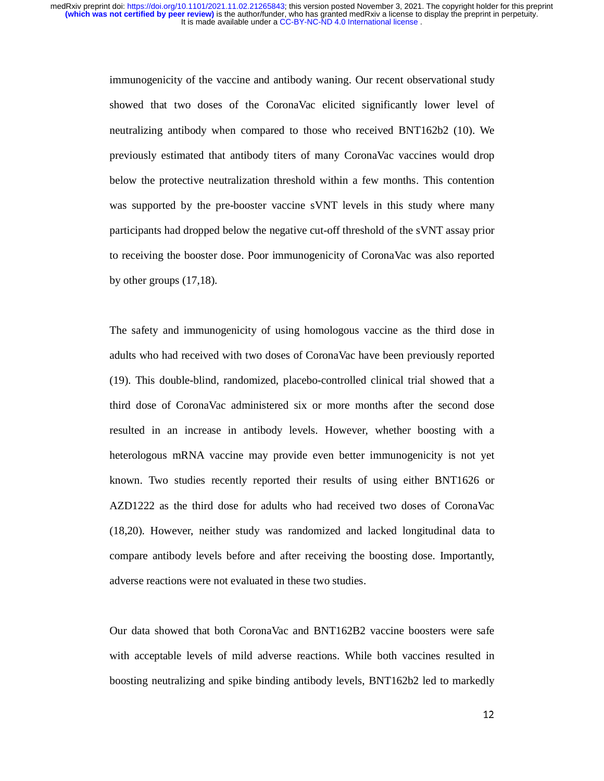> immunogenicity of the vaccine and antibody waning. Our recent observational study showed that two doses of the CoronaVac elicited significantly lower level of neutralizing antibody when compared to those who received BNT162b2 (10). We previously estimated that antibody titers of many CoronaVac vaccines would drop below the protective neutralization threshold within a few months. This contention was supported by the pre-booster vaccine sVNT levels in this study where many participants had dropped below the negative cut-off threshold of the sVNT assay prior to receiving the booster dose. Poor immunogenicity of CoronaVac was also reported by other groups (17,18).

> The safety and immunogenicity of using homologous vaccine as the third dose in adults who had received with two doses of CoronaVac have been previously reported (19). This double-blind, randomized, placebo-controlled clinical trial showed that a third dose of CoronaVac administered six or more months after the second dose resulted in an increase in antibody levels. However, whether boosting with a heterologous mRNA vaccine may provide even better immunogenicity is not yet known. Two studies recently reported their results of using either BNT1626 or AZD1222 as the third dose for adults who had received two doses of CoronaVac (18,20). However, neither study was randomized and lacked longitudinal data to compare antibody levels before and after receiving the boosting dose. Importantly, adverse reactions were not evaluated in these two studies.

> Our data showed that both CoronaVac and BNT162B2 vaccine boosters were safe with acceptable levels of mild adverse reactions. While both vaccines resulted in boosting neutralizing and spike binding antibody levels, BNT162b2 led to markedly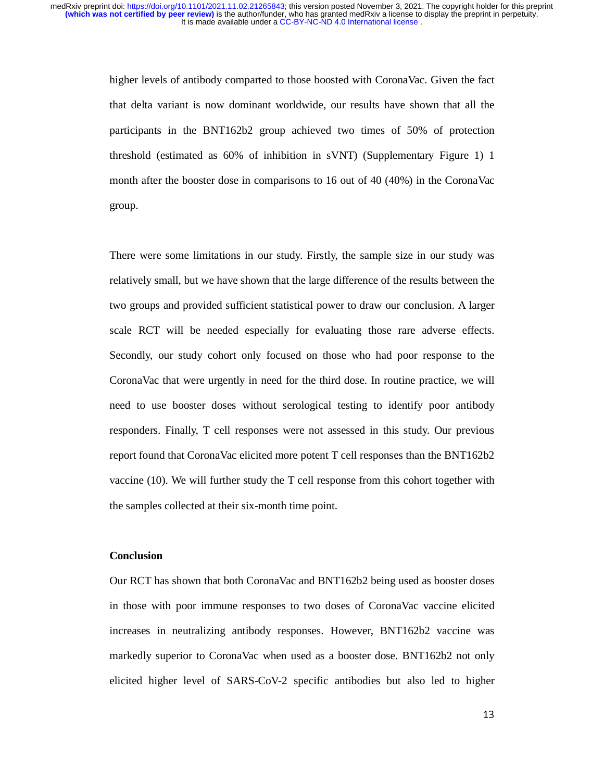higher levels of antibody comparted to those boosted with CoronaVac. Given the fact that delta variant is now dominant worldwide, our results have shown that all the participants in the BNT162b2 group achieved two times of 50% of protection threshold (estimated as 60% of inhibition in sVNT) (Supplementary Figure 1) 1 month after the booster dose in comparisons to 16 out of 40 (40%) in the CoronaVac group.

There were some limitations in our study. Firstly, the sample size in our study was relatively small, but we have shown that the large difference of the results between the two groups and provided sufficient statistical power to draw our conclusion. A larger scale RCT will be needed especially for evaluating those rare adverse effects. Secondly, our study cohort only focused on those who had poor response to the CoronaVac that were urgently in need for the third dose. In routine practice, we will need to use booster doses without serological testing to identify poor antibody responders. Finally, T cell responses were not assessed in this study. Our previous report found that CoronaVac elicited more potent T cell responses than the BNT162b2 vaccine (10). We will further study the T cell response from this cohort together with the samples collected at their six-month time point.

## **Conclusion**

Our RCT has shown that both CoronaVac and BNT162b2 being used as booster doses in those with poor immune responses to two doses of CoronaVac vaccine elicited increases in neutralizing antibody responses. However, BNT162b2 vaccine was markedly superior to CoronaVac when used as a booster dose. BNT162b2 not only elicited higher level of SARS-CoV-2 specific antibodies but also led to higher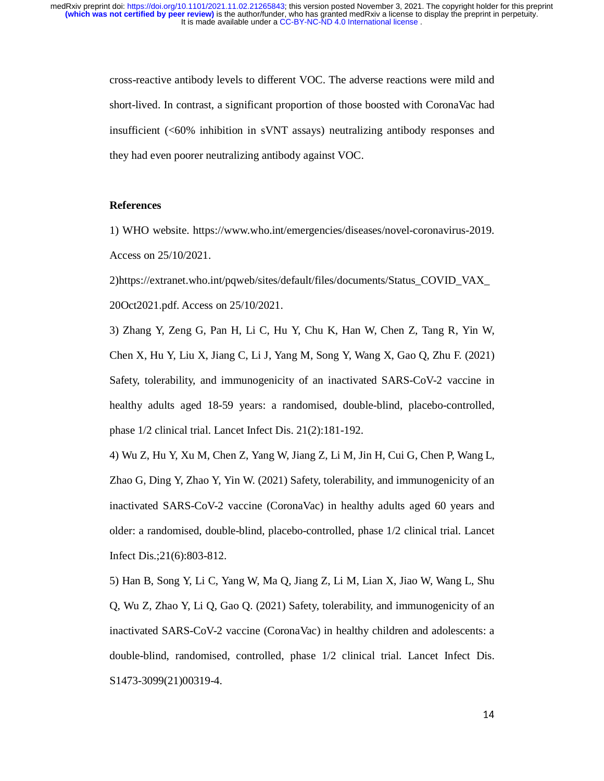cross-reactive antibody levels to different VOC. The adverse reactions were mild and short-lived. In contrast, a significant proportion of those boosted with CoronaVac had insufficient (<60% inhibition in sVNT assays) neutralizing antibody responses and they had even poorer neutralizing antibody against VOC.

## **References**

1) WHO website. https://www.who.int/emergencies/diseases/novel-coronavirus-2019. Access on 25/10/2021.

2)https://extranet.who.int/pqweb/sites/default/files/documents/Status\_COVID\_VAX\_ 20Oct2021.pdf. Access on 25/10/2021.

3) Zhang Y, Zeng G, Pan H, Li C, Hu Y, Chu K, Han W, Chen Z, Tang R, Yin W, Chen X, Hu Y, Liu X, Jiang C, Li J, Yang M, Song Y, Wang X, Gao Q, Zhu F. (2021) Safety, tolerability, and immunogenicity of an inactivated SARS-CoV-2 vaccine in healthy adults aged 18-59 years: a randomised, double-blind, placebo-controlled, phase 1/2 clinical trial. Lancet Infect Dis. 21(2):181-192.

4) Wu Z, Hu Y, Xu M, Chen Z, Yang W, Jiang Z, Li M, Jin H, Cui G, Chen P, Wang L, Zhao G, Ding Y, Zhao Y, Yin W. (2021) Safety, tolerability, and immunogenicity of an inactivated SARS-CoV-2 vaccine (CoronaVac) in healthy adults aged 60 years and older: a randomised, double-blind, placebo-controlled, phase 1/2 clinical trial. Lancet Infect Dis.;21(6):803-812.

5) Han B, Song Y, Li C, Yang W, Ma Q, Jiang Z, Li M, Lian X, Jiao W, Wang L, Shu Q, Wu Z, Zhao Y, Li Q, Gao Q. (2021) Safety, tolerability, and immunogenicity of an inactivated SARS-CoV-2 vaccine (CoronaVac) in healthy children and adolescents: a double-blind, randomised, controlled, phase 1/2 clinical trial. Lancet Infect Dis. S1473-3099(21)00319-4.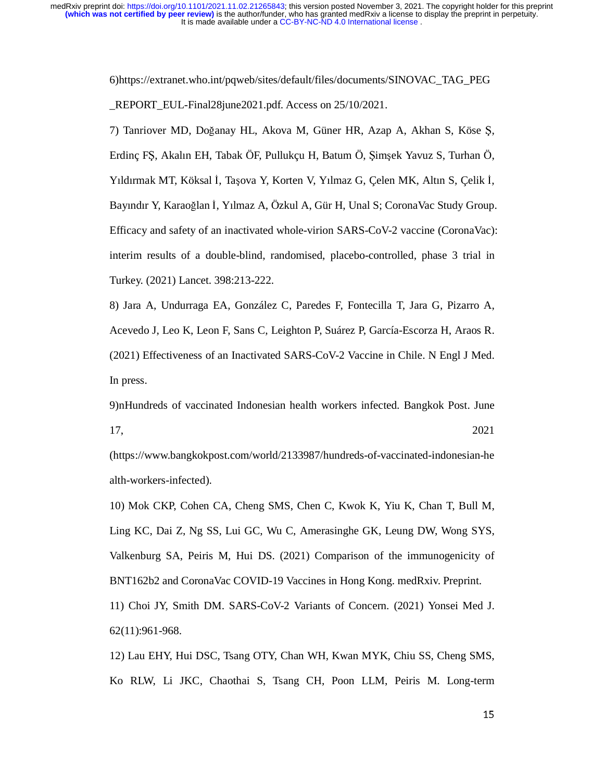> 6)https://extranet.who.int/pqweb/sites/default/files/documents/SINOVAC\_TAG\_PEG \_REPORT\_EUL-Final28june2021.pdf. Access on 25/10/2021.

7) Tanriover MD, Doğanay HL, Akova M, Güner HR, Azap A, Akhan S, Köse Ş, Erdinç FŞ, Akalın EH, Tabak ÖF, Pullukçu H, Batum Ö, Şimşek Yavuz S, Turhan Ö, Yıldırmak MT, Köksal İ, Taşova Y, Korten V, Yılmaz G, Çelen MK, Altın S, Çelik İ, Bayındır Y, Karaoğlan İ, Yılmaz A, Özkul A, Gür H, Unal S; CoronaVac Study Group. Efficacy and safety of an inactivated whole-virion SARS-CoV-2 vaccine (CoronaVac): interim results of a double-blind, randomised, placebo-controlled, phase 3 trial in Turkey. (2021) Lancet. 398:213-222.

8) Jara A, Undurraga EA, González C, Paredes F, Fontecilla T, Jara G, Pizarro A, Acevedo J, Leo K, Leon F, Sans C, Leighton P, Suárez P, García-Escorza H, Araos R. (2021) Effectiveness of an Inactivated SARS-CoV-2 Vaccine in Chile. N Engl J Med. In press.

9)nHundreds of vaccinated Indonesian health workers infected. Bangkok Post. June 17, 2021

(https://www.bangkokpost.com/world/2133987/hundreds-of-vaccinated-indonesian-he alth-workers-infected).

10) Mok CKP, Cohen CA, Cheng SMS, Chen C, Kwok K, Yiu K, Chan T, Bull M, Ling KC, Dai Z, Ng SS, Lui GC, Wu C, Amerasinghe GK, Leung DW, Wong SYS, Valkenburg SA, Peiris M, Hui DS. (2021) Comparison of the immunogenicity of BNT162b2 and CoronaVac COVID-19 Vaccines in Hong Kong. medRxiv. Preprint.

11) Choi JY, Smith DM. SARS-CoV-2 Variants of Concern. (2021) Yonsei Med J. 62(11):961-968.

12) Lau EHY, Hui DSC, Tsang OTY, Chan WH, Kwan MYK, Chiu SS, Cheng SMS, Ko RLW, Li JKC, Chaothai S, Tsang CH, Poon LLM, Peiris M. Long-term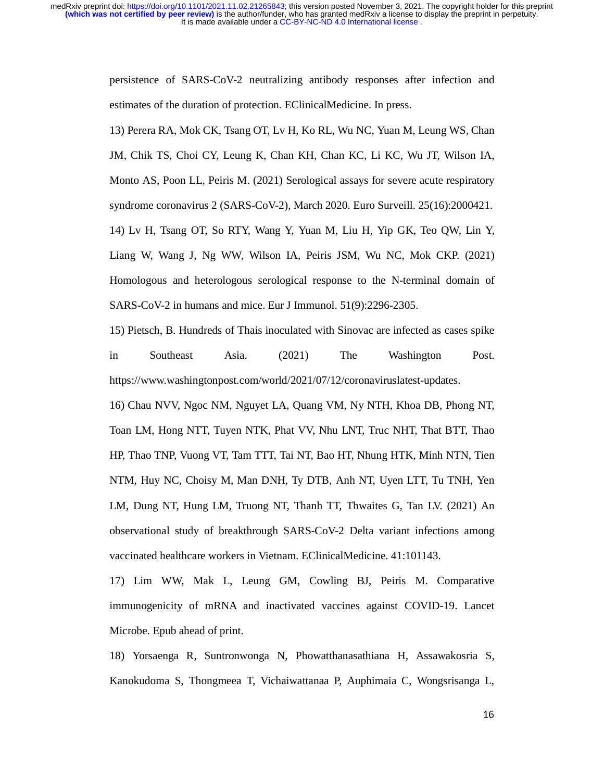It is made available under a [CC-BY-NC-ND 4.0 International license](http://creativecommons.org/licenses/by-nc-nd/4.0/) . **(which was not certified by peer review)** is the author/funder, who has granted medRxiv a license to display the preprint in perpetuity. medRxiv preprint doi: [https://doi.org/10.1101/2021.11.02.21265843;](https://doi.org/10.1101/2021.11.02.21265843) this version posted November 3, 2021. The copyright holder for this preprint

> persistence of SARS-CoV-2 neutralizing antibody responses after infection and estimates of the duration of protection. EClinicalMedicine. In press.

> 13) Perera RA, Mok CK, Tsang OT, Lv H, Ko RL, Wu NC, Yuan M, Leung WS, Chan JM, Chik TS, Choi CY, Leung K, Chan KH, Chan KC, Li KC, Wu JT, Wilson IA, Monto AS, Poon LL, Peiris M. (2021) Serological assays for severe acute respiratory syndrome coronavirus 2 (SARS-CoV-2), March 2020. Euro Surveill. 25(16):2000421. 14) Lv H, Tsang OT, So RTY, Wang Y, Yuan M, Liu H, Yip GK, Teo QW, Lin Y, Liang W, Wang J, Ng WW, Wilson IA, Peiris JSM, Wu NC, Mok CKP. (2021) Homologous and heterologous serological response to the N-terminal domain of SARS-CoV-2 in humans and mice. Eur J Immunol. 51(9):2296-2305.

> 15) Pietsch, B. Hundreds of Thais inoculated with Sinovac are infected as cases spike in Southeast Asia. (2021) The Washington Post. https://www.washingtonpost.com/world/2021/07/12/coronaviruslatest-updates.

> 16) Chau NVV, Ngoc NM, Nguyet LA, Quang VM, Ny NTH, Khoa DB, Phong NT, Toan LM, Hong NTT, Tuyen NTK, Phat VV, Nhu LNT, Truc NHT, That BTT, Thao HP, Thao TNP, Vuong VT, Tam TTT, Tai NT, Bao HT, Nhung HTK, Minh NTN, Tien NTM, Huy NC, Choisy M, Man DNH, Ty DTB, Anh NT, Uyen LTT, Tu TNH, Yen LM, Dung NT, Hung LM, Truong NT, Thanh TT, Thwaites G, Tan LV. (2021) An observational study of breakthrough SARS-CoV-2 Delta variant infections among vaccinated healthcare workers in Vietnam. EClinicalMedicine. 41:101143.

> 17) Lim WW, Mak L, Leung GM, Cowling BJ, Peiris M. Comparative immunogenicity of mRNA and inactivated vaccines against COVID-19. Lancet Microbe. Epub ahead of print.

> 18) Yorsaenga R, Suntronwonga N, Phowatthanasathiana H, Assawakosria S, Kanokudoma S, Thongmeea T, Vichaiwattanaa P, Auphimaia C, Wongsrisanga L,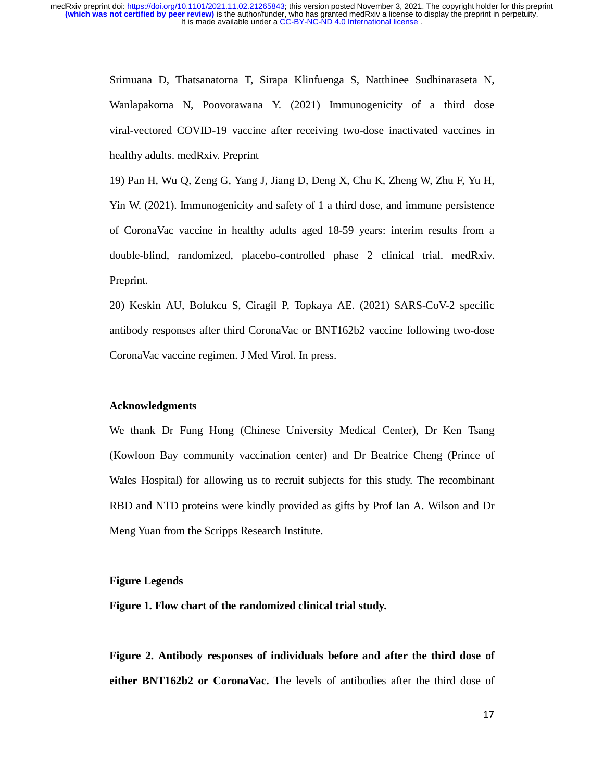> Srimuana D, Thatsanatorna T, Sirapa Klinfuenga S, Natthinee Sudhinaraseta N, Wanlapakorna N, Poovorawana Y. (2021) Immunogenicity of a third dose viral-vectored COVID-19 vaccine after receiving two-dose inactivated vaccines in healthy adults. medRxiv. Preprint

> 19) Pan H, Wu Q, Zeng G, Yang J, Jiang D, Deng X, Chu K, Zheng W, Zhu F, Yu H, Yin W. (2021). Immunogenicity and safety of 1 a third dose, and immune persistence of CoronaVac vaccine in healthy adults aged 18-59 years: interim results from a double-blind, randomized, placebo-controlled phase 2 clinical trial. medRxiv. Preprint.

> 20) Keskin AU, Bolukcu S, Ciragil P, Topkaya AE. (2021) SARS-CoV-2 specific antibody responses after third CoronaVac or BNT162b2 vaccine following two-dose CoronaVac vaccine regimen. J Med Virol. In press.

#### **Acknowledgments**

We thank Dr Fung Hong (Chinese University Medical Center), Dr Ken Tsang (Kowloon Bay community vaccination center) and Dr Beatrice Cheng (Prince of Wales Hospital) for allowing us to recruit subjects for this study. The recombinant RBD and NTD proteins were kindly provided as gifts by Prof Ian A. Wilson and Dr Meng Yuan from the Scripps Research Institute.

#### **Figure Legends**

**Figure 1. Flow chart of the randomized clinical trial study.** 

**Figure 2. Antibody responses of individuals before and after the third dose of either BNT162b2 or CoronaVac.** The levels of antibodies after the third dose of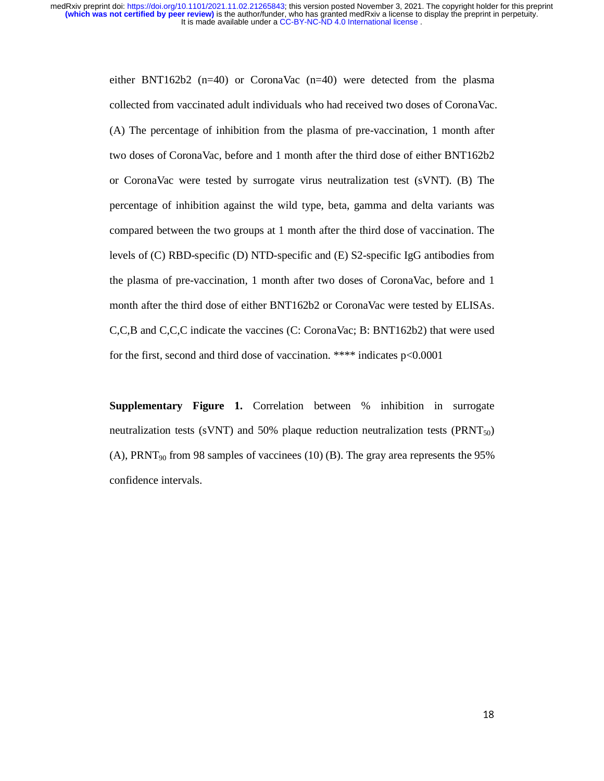> either BNT162b2 (n=40) or CoronaVac (n=40) were detected from the plasma collected from vaccinated adult individuals who had received two doses of CoronaVac. (A) The percentage of inhibition from the plasma of pre-vaccination, 1 month after two doses of CoronaVac, before and 1 month after the third dose of either BNT162b2 or CoronaVac were tested by surrogate virus neutralization test (sVNT). (B) The percentage of inhibition against the wild type, beta, gamma and delta variants was compared between the two groups at 1 month after the third dose of vaccination. The levels of (C) RBD-specific (D) NTD-specific and (E) S2-specific IgG antibodies from the plasma of pre-vaccination, 1 month after two doses of CoronaVac, before and 1 month after the third dose of either BNT162b2 or CoronaVac were tested by ELISAs. C,C,B and C,C,C indicate the vaccines (C: CoronaVac; B: BNT162b2) that were used for the first, second and third dose of vaccination. \*\*\*\* indicates p<0.0001

> **Supplementary Figure 1.** Correlation between % inhibition in surrogate neutralization tests (sVNT) and 50% plaque reduction neutralization tests ( $\text{PRNT}_{50}$ ) (A), PRNT<sub>90</sub> from 98 samples of vaccinees (10) (B). The gray area represents the 95% confidence intervals.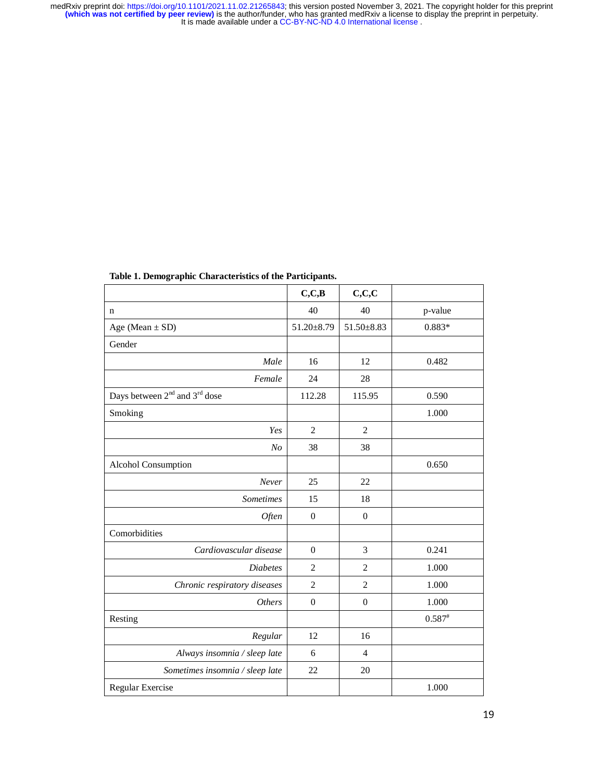| Table 1. Demographic Characteristics of the Participants. |                  |                  |           |  |  |
|-----------------------------------------------------------|------------------|------------------|-----------|--|--|
|                                                           | C, C, B          | C, C, C          |           |  |  |
| $\mathbf n$                                               | 40               | 40               | p-value   |  |  |
| Age (Mean $\pm$ SD)                                       | 51.20±8.79       | 51.50±8.83       | 0.883*    |  |  |
| Gender                                                    |                  |                  |           |  |  |
| Male                                                      | 16               | 12               | 0.482     |  |  |
| Female                                                    | 24               | 28               |           |  |  |
| Days between $2^{nd}$ and $3^{rd}$ dose                   | 112.28           | 115.95           | 0.590     |  |  |
| Smoking                                                   |                  |                  | 1.000     |  |  |
| Yes                                                       | $\overline{2}$   | $\overline{2}$   |           |  |  |
| N <sub>O</sub>                                            | 38               | 38               |           |  |  |
| Alcohol Consumption                                       |                  |                  | 0.650     |  |  |
| Never                                                     | 25               | 22               |           |  |  |
| <b>Sometimes</b>                                          | 15               | 18               |           |  |  |
| Often                                                     | $\overline{0}$   | $\boldsymbol{0}$ |           |  |  |
| Comorbidities                                             |                  |                  |           |  |  |
| Cardiovascular disease                                    | $\overline{0}$   | 3                | 0.241     |  |  |
| <b>Diabetes</b>                                           | $\overline{2}$   | $\overline{c}$   | 1.000     |  |  |
| Chronic respiratory diseases                              | $\overline{c}$   | $\overline{c}$   | 1.000     |  |  |
| <b>Others</b>                                             | $\boldsymbol{0}$ | $\boldsymbol{0}$ | 1.000     |  |  |
| Resting                                                   |                  |                  | $0.587$ # |  |  |
| Regular                                                   | 12               | 16               |           |  |  |
| Always insomnia / sleep late                              | 6                | $\overline{4}$   |           |  |  |
| Sometimes insomnia / sleep late                           | 22               | 20               |           |  |  |
| Regular Exercise                                          |                  |                  | 1.000     |  |  |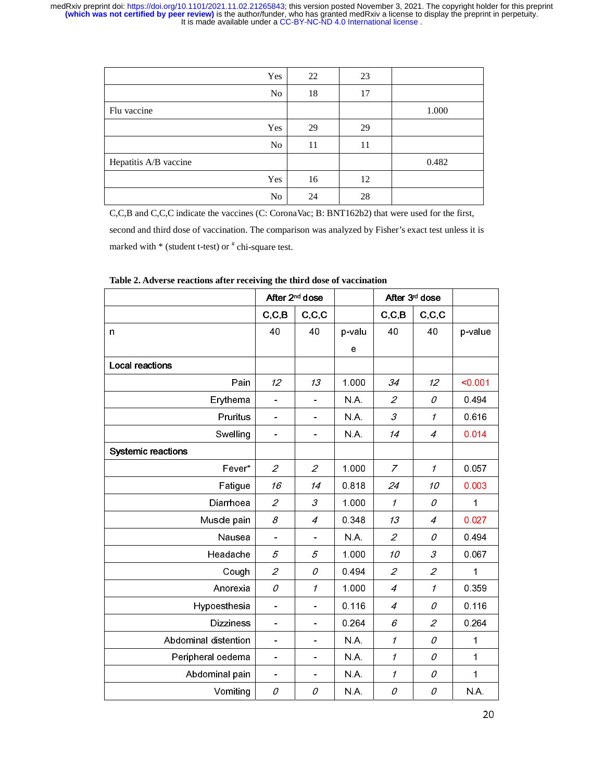| Yes                   | 22 | 23 |       |
|-----------------------|----|----|-------|
| N <sub>o</sub>        | 18 | 17 |       |
| Flu vaccine           |    |    | 1.000 |
| Yes                   | 29 | 29 |       |
| N <sub>o</sub>        | 11 | 11 |       |
| Hepatitis A/B vaccine |    |    | 0.482 |
| Yes                   | 16 | 12 |       |
| No                    | 24 | 28 |       |

C,C,B and C,C,C indicate the vaccines (C: CoronaVac; B: BNT162b2) that were used for the first, second and third dose of vaccination. The comparison was analyzed by Fisher's exact test unless it is marked with  $*$  (student t-test) or  $*$  chi-square test.

|                           | After 2 <sup>nd</sup> dose   |                              |        | After 3 <sup>d</sup> dose   |                             |             |
|---------------------------|------------------------------|------------------------------|--------|-----------------------------|-----------------------------|-------------|
|                           | C, C, B                      | C, C, C                      |        | C, C, B                     | C, C, C                     |             |
| n                         | 40                           | 40                           | p-valu | 40                          | 40                          | p-value     |
|                           |                              |                              | е      |                             |                             |             |
| <b>Local reactions</b>    |                              |                              |        |                             |                             |             |
| Pain                      | 12                           | 13                           | 1.000  | 34                          | 12                          | < 0.001     |
| Erythema                  |                              |                              | NA.    | $\mathcal{L}_{\mathcal{L}}$ | 0                           | 0.494       |
| Pruritus                  | $\overline{\phantom{0}}$     |                              | N.A.   | $\mathcal{S}_{\mathcal{S}}$ | $\mathcal{I}$               | 0.616       |
| Swelling                  | $\overline{\phantom{0}}$     |                              | NA.    | 14                          | 4                           | 0.014       |
| <b>Systemic reactions</b> |                              |                              |        |                             |                             |             |
| Fever*                    | $\mathcal{L}_{\mathcal{L}}$  | $\mathcal{L}_{\mathcal{L}}$  | 1.000  | $\overline{z}$              | $\mathcal I$                | 0.057       |
| Fatigue                   | 16                           | 14                           | 0818   | 24                          | 10                          | 0.003       |
| Diarrhoea                 | $\overline{2}$               | 3                            | 1.000  | $\mathcal I$                | 0                           | 1           |
| Muscle pain               | 8                            | $\overline{4}$               | 0.348  | 13                          | 4                           | 0.027       |
| Nausea                    | $\overline{\phantom{0}}$     |                              | NA.    | $\mathcal{L}_{\mathcal{L}}$ | 0                           | 0.494       |
| Headache                  | 5                            | 5                            | 1.000  | 10                          | 3                           | 0.067       |
| Cough                     | $\overline{2}$               | 0                            | 0.494  | $\overline{2}$              | $\overline{2}$              | 1           |
| Anorexia                  | 0                            | $\boldsymbol{\eta}$          | 1.000  | $\overline{4}$              | $\boldsymbol{\eta}$         | 0.359       |
| Hypoesthesia              | $\overline{\phantom{0}}$     |                              | 0.116  | $\overline{4}$              | 0                           | 0.116       |
| <b>Dizziness</b>          | $\overline{a}$               |                              | 0.264  | 6                           | $\mathcal{L}_{\mathcal{L}}$ | 0.264       |
| Abdominal distention      | $\overline{\phantom{0}}$     |                              | NA.    | 1                           | 0                           | 1           |
| Peripheral oedema         | $\qquad \qquad \blacksquare$ | $\blacksquare$               | NA.    | 1                           | 0                           | $\mathbf 1$ |
| Abdominal pain            | $\overline{\phantom{0}}$     | $\qquad \qquad \blacksquare$ | NA.    | 1                           | 0                           | 1           |
| Vomiting                  | 0                            | 0                            | N.A.   | 0                           | 0                           | N.A.        |

**Table 2. Adverse reactions after receiving the third dose of vaccination**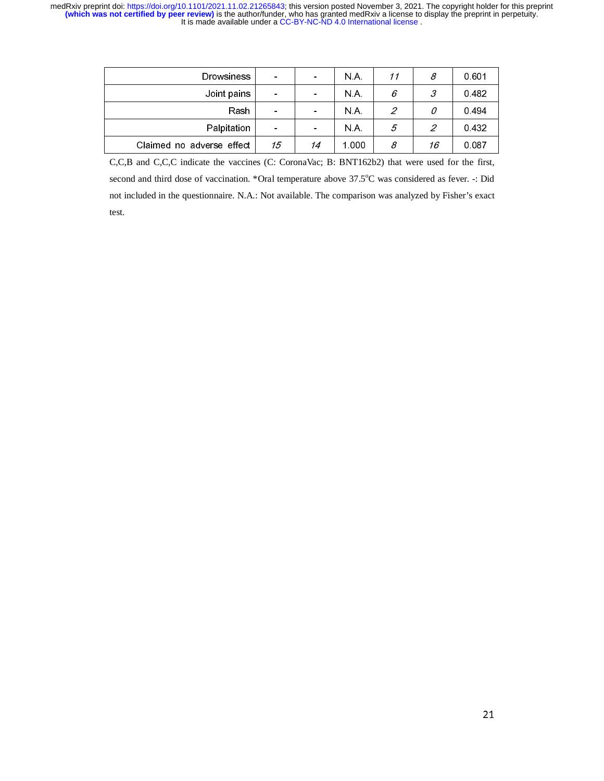| <b>Drowsiness</b>         | $\qquad \qquad \blacksquare$ |                          | N A   | 11 | 8  | 0.601 |
|---------------------------|------------------------------|--------------------------|-------|----|----|-------|
| Joint pains               | $\overline{\phantom{a}}$     | $\overline{\phantom{0}}$ | N A   | 6  | 3  | 0482  |
| Rash                      | $\qquad \qquad \blacksquare$ |                          | N.A.  | 2  | 0  | 0494  |
| Palpitation               | $\overline{\phantom{0}}$     |                          | N A   | 5  | 2  | 0432  |
| Claimed no adverse effect | 15                           | 14                       | 1.000 | 8  | 16 | 0.087 |
|                           |                              |                          |       |    |    |       |

C,C,B and C,C,C indicate the vaccines (C: CoronaVac; B: BNT162b2) that were used for the first, second and third dose of vaccination. \*Oral temperature above 37.5°C was considered as fever. -: Did not included in the questionnaire. N.A.: Not available. The comparison was analyzed by Fisher's exact test.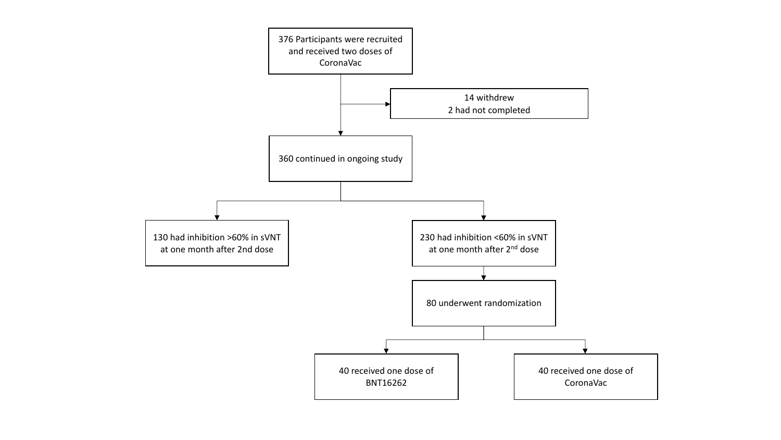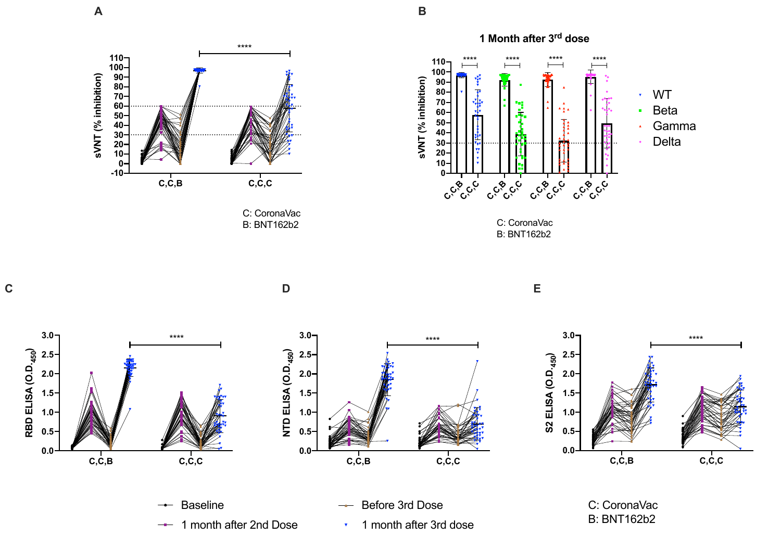



C: CoronaVac B: BNT162b2





C: CoronaVac B: BNT162b2





 $-$ 





- 1 month after 2nd Dose
- Baseline C: CoronaVac

 $\overline{\mathbf{v}}$ 

1 month after 3rd dose

B: BNT162b2

**sVNT (% inhibition)**

sVNT (% inhibition)